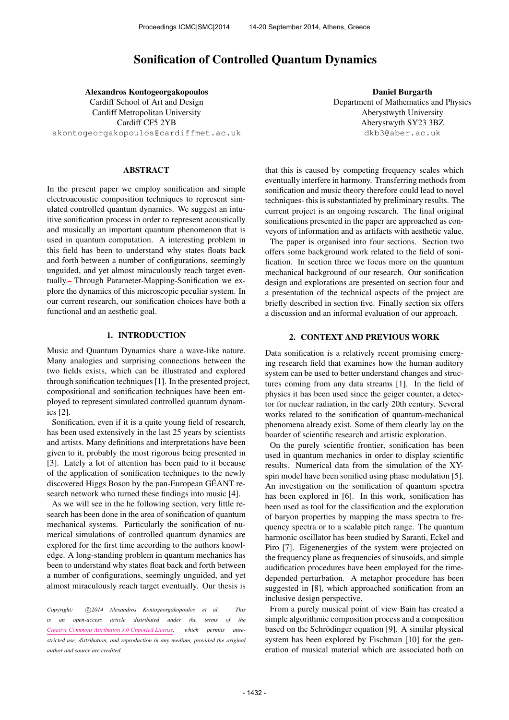# Sonification of Controlled Quantum Dynamics

Alexandros Kontogeorgakopoulos Cardiff School of Art and Design Cardiff Metropolitan University Cardiff CF5 2YB [akontogeorgakopoulos@cardiffmet.ac.uk](mailto:akontogeorgakopoulos@cardiffmet.ac.uk)

#### ABSTRACT

In the present paper we employ sonification and simple electroacoustic composition techniques to represent simulated controlled quantum dynamics. We suggest an intuitive sonification process in order to represent acoustically and musically an important quantum phenomenon that is used in quantum computation. A interesting problem in this field has been to understand why states floats back and forth between a number of configurations, seemingly unguided, and yet almost miraculously reach target eventually. Through Parameter-Mapping-Sonification we explore the dynamics of this microscopic peculiar system. In our current research, our sonification choices have both a functional and an aesthetic goal.

## 1. INTRODUCTION

Music and Quantum Dynamics share a wave-like nature. Many analogies and surprising connections between the two fields exists, which can be illustrated and explored through sonification techniques [\[1\]](#page-3-0). In the presented project, compositional and sonification techniques have been employed to represent simulated controlled quantum dynamics [\[2\]](#page-3-1).

Sonification, even if it is a quite young field of research, has been used extensively in the last 25 years by scientists and artists. Many definitions and interpretations have been given to it, probably the most rigorous being presented in [\[3\]](#page-3-2). Lately a lot of attention has been paid to it because of the application of sonification techniques to the newly discovered Higgs Boson by the pan-European GEANT re- ´ search network who turned these findings into music [\[4\]](#page-3-3).

As we will see in the he following section, very little research has been done in the area of sonification of quantum mechanical systems. Particularly the sonification of numerical simulations of controlled quantum dynamics are explored for the first time according to the authors knowledge. A long-standing problem in quantum mechanics has been to understand why states float back and forth between a number of configurations, seemingly unguided, and yet almost miraculously reach target eventually. Our thesis is

*Copyright:* !c *2014 Alexandros Kontogeorgakopoulos et al. This is an open-access article distributed under the terms of the [Creative Commons Attribution 3.0 Unported License,](http://creativecommons.org/licenses/by/3.0/) which permits unrestricted use, distribution, and reproduction in any medium, provided the original author and source are credited.*

Daniel Burgarth Department of Mathematics and Physics Aberystwyth University Aberystwyth SY23 3BZ [dkb3@aber.ac.uk](mailto:dkb3@aber.ac.uk)

that this is caused by competing frequency scales which eventually interfere in harmony. Transferring methods from sonification and music theory therefore could lead to novel techniques- this is substantiated by preliminary results. The current project is an ongoing research. The final original sonifications presented in the paper are approached as conveyors of information and as artifacts with aesthetic value.

The paper is organised into four sections. Section two offers some background work related to the field of sonification. In section three we focus more on the quantum mechanical background of our research. Our sonification design and explorations are presented on section four and a presentation of the technical aspects of the project are briefly described in section five. Finally section six offers a discussion and an informal evaluation of our approach.

## 2. CONTEXT AND PREVIOUS WORK

Data sonification is a relatively recent promising emerging research field that examines how the human auditory system can be used to better understand changes and structures coming from any data streams [\[1\]](#page-3-0). In the field of physics it has been used since the geiger counter, a detector for nuclear radiation, in the early 20th century. Several works related to the sonification of quantum-mechanical phenomena already exist. Some of them clearly lay on the boarder of scientific research and artistic exploration.

On the purely scientific frontier, sonification has been used in quantum mechanics in order to display scientific results. Numerical data from the simulation of the XYspin model have been sonified using phase modulation [\[5\]](#page-3-4). An investigation on the sonification of quantum spectra has been explored in [\[6\]](#page-3-5). In this work, sonification has been used as tool for the classification and the exploration of baryon properties by mapping the mass spectra to frequency spectra or to a scalable pitch range. The quantum harmonic oscillator has been studied by Saranti, Eckel and Piro [\[7\]](#page-3-6). Eigenenergies of the system were projected on the frequency plane as frequencies of sinusoids, and simple audification procedures have been employed for the timedepended perturbation. A metaphor procedure has been suggested in [\[8\]](#page-3-7), which approached sonification from an inclusive design perspective.

From a purely musical point of view Bain has created a simple algorithmic composition process and a composition based on the Schrödinger equation [\[9\]](#page-3-8). A similar physical system has been explored by Fischman [\[10\]](#page-3-9) for the generation of musical material which are associated both on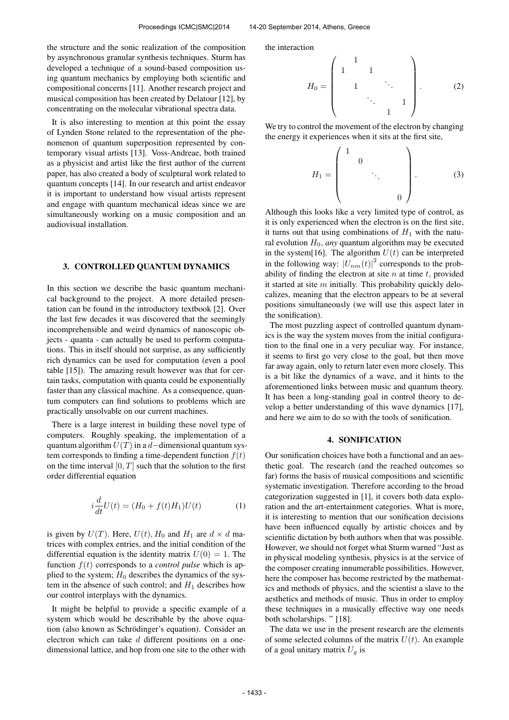the structure and the sonic realization of the composition by asynchronous granular synthesis techniques. Sturm has developed a technique of a sound-based composition using quantum mechanics by employing both scientific and compositional concerns [\[11\]](#page-4-0). Another research project and musical composition has been created by Delatour [\[12\]](#page-4-1), by concentrating on the molecular vibrational spectra data.

It is also interesting to mention at this point the essay of Lynden Stone related to the representation of the phenomenon of quantum superposition represented by contemporary visual artists [\[13\]](#page-4-2). Voss-Andreae, both trained as a physicist and artist like the first author of the current paper, has also created a body of sculptural work related to quantum concepts [\[14\]](#page-4-3). In our research and artist endeavor it is important to understand how visual artists represent and engage with quantum mechanical ideas since we are simultaneously working on a music composition and an audiovisual installation.

#### 3. CONTROLLED QUANTUM DYNAMICS

In this section we describe the basic quantum mechanical background to the project. A more detailed presentation can be found in the introductory textbook [\[2\]](#page-3-1). Over the last few decades it was discovered that the seemingly incomprehensible and weird dynamics of nanoscopic objects - quanta - can actually be used to perform computations. This in itself should not surprise, as any sufficiently rich dynamics can be used for computation (even a pool table [\[15\]](#page-4-4)). The amazing result however was that for certain tasks, computation with quanta could be exponentially faster than any classical machine. As a consequence, quantum computers can find solutions to problems which are practically unsolvable on our current machines.

There is a large interest in building these novel type of computers. Roughly speaking, the implementation of a quantum algorithm  $U(T)$  in a d–dimensional quantum system corresponds to finding a time-dependent function  $f(t)$ on the time interval  $[0, T]$  such that the solution to the first order differential equation

$$
i\frac{d}{dt}U(t) = (H_0 + f(t)H_1)U(t)
$$
 (1)

is given by  $U(T)$ . Here,  $U(t)$ ,  $H_0$  and  $H_1$  are  $d \times d$  matrices with complex entries, and the initial condition of the differential equation is the identity matrix  $U(0) = 1$ . The function  $f(t)$  corresponds to a *control pulse* which is applied to the system;  $H_0$  describes the dynamics of the system in the absence of such control; and  $H_1$  describes how our control interplays with the dynamics.

It might be helpful to provide a specific example of a system which would be describable by the above equation (also known as Schrödinger's equation). Consider an electron which can take d different positions on a onedimensional lattice, and hop from one site to the other with the interaction

$$
H_0 = \begin{pmatrix} 1 & & & & \\ 1 & 1 & & & \\ & 1 & & \ddots & \\ & & & \ddots & 1 \\ & & & & 1 \end{pmatrix} . \tag{2}
$$

We try to control the movement of the electron by changing the energy it experiences when it sits at the first site,

$$
H_1 = \begin{pmatrix} 1 & & & \\ & 0 & & \\ & & \ddots & \\ & & & 0 \end{pmatrix} . \tag{3}
$$

Although this looks like a very limited type of control, as it is only experienced when the electron is on the first site, it turns out that using combinations of  $H_1$  with the natural evolution  $H_0$ , *any* quantum algorithm may be executed in the system[\[16\]](#page-4-5). The algorithm  $U(t)$  can be interpreted in the following way:  $|U_{nm}(t)|^2$  corresponds to the probability of finding the electron at site  $n$  at time  $t$ , provided it started at site  $m$  initially. This probability quickly delocalizes, meaning that the electron appears to be at several positions simultaneously (we will use this aspect later in the sonification).

The most puzzling aspect of controlled quantum dynamics is the way the system moves from the initial configuration to the final one in a very peculiar way. For instance, it seems to first go very close to the goal, but then move far away again, only to return later even more closely. This is a bit like the dynamics of a wave, and it hints to the aforementioned links between music and quantum theory. It has been a long-standing goal in control theory to develop a better understanding of this wave dynamics [\[17\]](#page-4-6), and here we aim to do so with the tools of sonification.

#### 4. SONIFICATION

Our sonification choices have both a functional and an aesthetic goal. The research (and the reached outcomes so far) forms the basis of musical compositions and scientific systematic investigation. Therefore according to the broad categorization suggested in [\[1\]](#page-3-0), it covers both data exploration and the art-entertainment categories. What is more, it is interesting to mention that our sonification decisions have been influenced equally by artistic choices and by scientific dictation by both authors when that was possible. However, we should not forget what Sturm warned "Just as in physical modeling synthesis, physics is at the service of the composer creating innumerable possibilities. However, here the composer has become restricted by the mathematics and methods of physics, and the scientist a slave to the aesthetics and methods of music. Thus in order to employ these techniques in a musically effective way one needs both scholarships. " [\[18\]](#page-4-7).

The data we use in the present research are the elements of some selected columns of the matrix  $U(t)$ . An example of a goal unitary matrix  $U_q$  is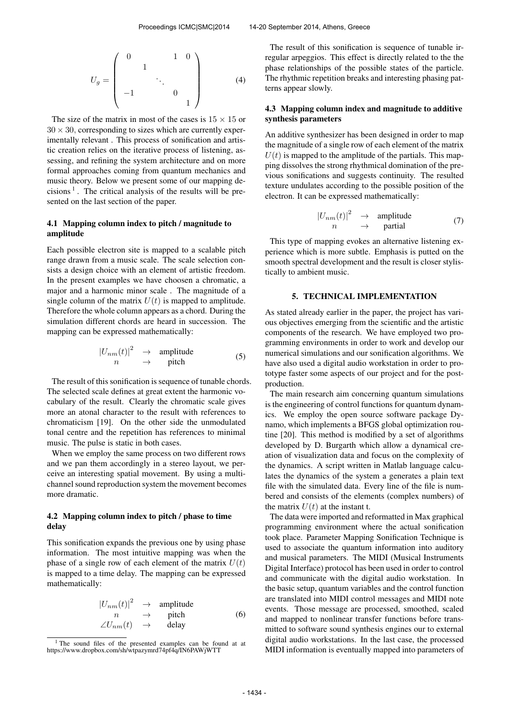$$
U_g = \begin{pmatrix} 0 & 1 & 0 \\ & 1 & & \\ & & \ddots & \\ -1 & & & 0 & \\ & & & & 1 \end{pmatrix}
$$
 (4)

The size of the matrix in most of the cases is  $15 \times 15$  or  $30 \times 30$ , corresponding to sizes which are currently experimentally relevant . This process of sonification and artistic creation relies on the iterative process of listening, assessing, and refining the system architecture and on more formal approaches coming from quantum mechanics and music theory. Below we present some of our mapping de-cisions<sup>[1](#page-2-0)</sup>. The critical analysis of the results will be presented on the last section of the paper.

### 4.1 Mapping column index to pitch / magnitude to amplitude

Each possible electron site is mapped to a scalable pitch range drawn from a music scale. The scale selection consists a design choice with an element of artistic freedom. In the present examples we have choosen a chromatic, a major and a harmonic minor scale . The magnitude of a single column of the matrix  $U(t)$  is mapped to amplitude. Therefore the whole column appears as a chord. During the simulation different chords are heard in succession. The mapping can be expressed mathematically:

$$
\left|U_{nm}(t)\right|^2 \rightarrow amplitude \nn \rightarrow pitch \tag{5}
$$

The result of this sonification is sequence of tunable chords. The selected scale defines at great extent the harmonic vocabulary of the result. Clearly the chromatic scale gives more an atonal character to the result with references to chromaticism [\[19\]](#page-4-8). On the other side the unmodulated tonal centre and the repetition has references to minimal music. The pulse is static in both cases.

When we employ the same process on two different rows and we pan them accordingly in a stereo layout, we perceive an interesting spatial movement. By using a multichannel sound reproduction system the movement becomes more dramatic.

## 4.2 Mapping column index to pitch / phase to time delay

This sonification expands the previous one by using phase information. The most intuitive mapping was when the phase of a single row of each element of the matrix  $U(t)$ is mapped to a time delay. The mapping can be expressed mathematically:

$$
\begin{array}{ccc}\n|U_{nm}(t)|^2 & \to & \text{amplitude} \\
n & \to & \text{pitch} \\
\angle U_{nm}(t) & \to & \text{delay}\n\end{array} \tag{6}
$$

The result of this sonification is sequence of tunable irregular arpeggios. This effect is directly related to the the phase relationships of the possible states of the particle. The rhythmic repetition breaks and interesting phasing patterns appear slowly.

## 4.3 Mapping column index and magnitude to additive synthesis parameters

An additive synthesizer has been designed in order to map the magnitude of a single row of each element of the matrix  $U(t)$  is mapped to the amplitude of the partials. This mapping dissolves the strong rhythmical domination of the previous sonifications and suggests continuity. The resulted texture undulates according to the possible position of the electron. It can be expressed mathematically:

$$
\begin{array}{ccc}\n|U_{nm}(t)|^2 & \to & \text{amplitude} \\
n & \to & \text{partial}\n\end{array} \tag{7}
$$

This type of mapping evokes an alternative listening experience which is more subtle. Emphasis is putted on the smooth spectral development and the result is closer stylistically to ambient music.

#### 5. TECHNICAL IMPLEMENTATION

As stated already earlier in the paper, the project has various objectives emerging from the scientific and the artistic components of the research. We have employed two programming environments in order to work and develop our numerical simulations and our sonification algorithms. We have also used a digital audio workstation in order to prototype faster some aspects of our project and for the postproduction.

The main research aim concerning quantum simulations is the engineering of control functions for quantum dynamics. We employ the open source software package Dynamo, which implements a BFGS global optimization routine [\[20\]](#page-4-9). This method is modified by a set of algorithms developed by D. Burgarth which allow a dynamical creation of visualization data and focus on the complexity of the dynamics. A script written in Matlab language calculates the dynamics of the system a generates a plain text file with the simulated data. Every line of the file is numbered and consists of the elements (complex numbers) of the matrix  $U(t)$  at the instant t.

The data were imported and reformatted in Max graphical programming environment where the actual sonification took place. Parameter Mapping Sonification Technique is used to associate the quantum information into auditory and musical parameters. The MIDI (Musical Instruments Digital Interface) protocol has been used in order to control and communicate with the digital audio workstation. In the basic setup, quantum variables and the control function are translated into MIDI control messages and MIDI note events. Those message are processed, smoothed, scaled and mapped to nonlinear transfer functions before transmitted to software sound synthesis engines our to external digital audio workstations. In the last case, the processed MIDI information is eventually mapped into parameters of

<span id="page-2-0"></span><sup>&</sup>lt;sup>1</sup> The sound files of the presented examples can be found at at https://www.dropbox.com/sh/wtpazymrd74pf4q/IN6PAWjWTT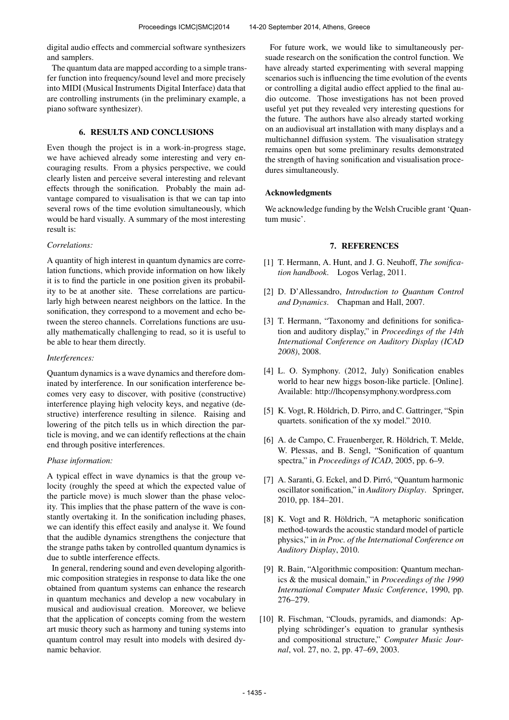digital audio effects and commercial software synthesizers and samplers.

The quantum data are mapped according to a simple transfer function into frequency/sound level and more precisely into MIDI (Musical Instruments Digital Interface) data that are controlling instruments (in the preliminary example, a piano software synthesizer).

## 6. RESULTS AND CONCLUSIONS

Even though the project is in a work-in-progress stage, we have achieved already some interesting and very encouraging results. From a physics perspective, we could clearly listen and perceive several interesting and relevant effects through the sonification. Probably the main advantage compared to visualisation is that we can tap into several rows of the time evolution simultaneously, which would be hard visually. A summary of the most interesting result is:

## *Correlations:*

A quantity of high interest in quantum dynamics are correlation functions, which provide information on how likely it is to find the particle in one position given its probability to be at another site. These correlations are particularly high between nearest neighbors on the lattice. In the sonification, they correspond to a movement and echo between the stereo channels. Correlations functions are usually mathematically challenging to read, so it is useful to be able to hear them directly.

## *Interferences:*

Quantum dynamics is a wave dynamics and therefore dominated by interference. In our sonification interference becomes very easy to discover, with positive (constructive) interference playing high velocity keys, and negative (destructive) interference resulting in silence. Raising and lowering of the pitch tells us in which direction the particle is moving, and we can identify reflections at the chain end through positive interferences.

#### *Phase information:*

A typical effect in wave dynamics is that the group velocity (roughly the speed at which the expected value of the particle move) is much slower than the phase velocity. This implies that the phase pattern of the wave is constantly overtaking it. In the sonification including phases, we can identify this effect easily and analyse it. We found that the audible dynamics strengthens the conjecture that the strange paths taken by controlled quantum dynamics is due to subtle interference effects.

In general, rendering sound and even developing algorithmic composition strategies in response to data like the one obtained from quantum systems can enhance the research in quantum mechanics and develop a new vocabulary in musical and audiovisual creation. Moreover, we believe that the application of concepts coming from the western art music theory such as harmony and tuning systems into quantum control may result into models with desired dynamic behavior.

For future work, we would like to simultaneously persuade research on the sonification the control function. We have already started experimenting with several mapping scenarios such is influencing the time evolution of the events or controlling a digital audio effect applied to the final audio outcome. Those investigations has not been proved useful yet put they revealed very interesting questions for the future. The authors have also already started working on an audiovisual art installation with many displays and a multichannel diffusion system. The visualisation strategy remains open but some preliminary results demonstrated the strength of having sonification and visualisation procedures simultaneously.

## Acknowledgments

We acknowledge funding by the Welsh Crucible grant 'Quantum music'.

## 7. REFERENCES

- <span id="page-3-0"></span>[1] T. Hermann, A. Hunt, and J. G. Neuhoff, *The sonification handbook*. Logos Verlag, 2011.
- <span id="page-3-1"></span>[2] D. D'Allessandro, *Introduction to Quantum Control and Dynamics*. Chapman and Hall, 2007.
- <span id="page-3-2"></span>[3] T. Hermann, "Taxonomy and definitions for sonification and auditory display," in *Proceedings of the 14th International Conference on Auditory Display (ICAD 2008)*, 2008.
- <span id="page-3-3"></span>[4] L. O. Symphony. (2012, July) Sonification enables world to hear new higgs boson-like particle. [Online]. Available:<http://lhcopensymphony.wordpress.com>
- <span id="page-3-4"></span>[5] K. Vogt, R. Höldrich, D. Pirro, and C. Gattringer, "Spin quartets. sonification of the xy model." 2010.
- <span id="page-3-5"></span>[6] A. de Campo, C. Frauenberger, R. Höldrich, T. Melde, W. Plessas, and B. Sengl, "Sonification of quantum spectra," in *Proceedings of ICAD*, 2005, pp. 6–9.
- <span id="page-3-6"></span>[7] A. Saranti, G. Eckel, and D. Pirró, "Quantum harmonic oscillator sonification," in *Auditory Display*. Springer, 2010, pp. 184–201.
- <span id="page-3-7"></span>[8] K. Vogt and R. Höldrich, "A metaphoric sonification method-towards the acoustic standard model of particle physics," in *in Proc. of the International Conference on Auditory Display*, 2010.
- <span id="page-3-8"></span>[9] R. Bain, "Algorithmic composition: Quantum mechanics & the musical domain," in *Proceedings of the 1990 International Computer Music Conference*, 1990, pp. 276–279.
- <span id="page-3-9"></span>[10] R. Fischman, "Clouds, pyramids, and diamonds: Applying schrödinger's equation to granular synthesis and compositional structure," *Computer Music Journal*, vol. 27, no. 2, pp. 47–69, 2003.